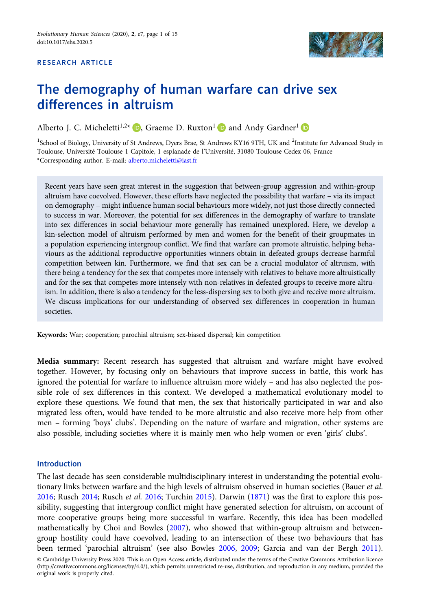#### RESEARCH ARTICLE



# The demography of human warfare can drive sex differences in altruism

Alberto J. C. Micheletti<sup>1,2\*</sup>  $\bullet$ , Graeme D. Ruxton<sup>1</sup>  $\bullet$  and Andy Gardner<sup>1</sup>  $\bullet$ 

<sup>1</sup>School of Biology, University of St Andrews, Dyers Brae, St Andrews KY16 9TH, UK and <sup>2</sup>Institute for Advanced Study in Toulouse, Université Toulouse 1 Capitole, 1 esplanade de l'Université, 31080 Toulouse Cedex 06, France \*Corresponding author. E-mail: [alberto.micheletti@iast.fr](mailto:alberto.micheletti@iast.fr)

Recent years have seen great interest in the suggestion that between-group aggression and within-group altruism have coevolved. However, these efforts have neglected the possibility that warfare – via its impact on demography – might influence human social behaviours more widely, not just those directly connected to success in war. Moreover, the potential for sex differences in the demography of warfare to translate into sex differences in social behaviour more generally has remained unexplored. Here, we develop a kin-selection model of altruism performed by men and women for the benefit of their groupmates in a population experiencing intergroup conflict. We find that warfare can promote altruistic, helping behaviours as the additional reproductive opportunities winners obtain in defeated groups decrease harmful competition between kin. Furthermore, we find that sex can be a crucial modulator of altruism, with there being a tendency for the sex that competes more intensely with relatives to behave more altruistically and for the sex that competes more intensely with non-relatives in defeated groups to receive more altruism. In addition, there is also a tendency for the less-dispersing sex to both give and receive more altruism. We discuss implications for our understanding of observed sex differences in cooperation in human societies.

Keywords: War; cooperation; parochial altruism; sex-biased dispersal; kin competition

Media summary: Recent research has suggested that altruism and warfare might have evolved together. However, by focusing only on behaviours that improve success in battle, this work has ignored the potential for warfare to influence altruism more widely – and has also neglected the possible role of sex differences in this context. We developed a mathematical evolutionary model to explore these questions. We found that men, the sex that historically participated in war and also migrated less often, would have tended to be more altruistic and also receive more help from other men – forming 'boys' clubs'. Depending on the nature of warfare and migration, other systems are also possible, including societies where it is mainly men who help women or even 'girls' clubs'.

### Introduction

The last decade has seen considerable multidisciplinary interest in understanding the potential evolutionary links between warfare and the high levels of altruism observed in human societies (Bauer et al. [2016](#page-12-0); Rusch [2014](#page-13-0); Rusch et al. [2016;](#page-13-0) Turchin [2015](#page-14-0)). Darwin [\(1871](#page-12-0)) was the first to explore this possibility, suggesting that intergroup conflict might have generated selection for altruism, on account of more cooperative groups being more successful in warfare. Recently, this idea has been modelled mathematically by Choi and Bowles [\(2007\)](#page-12-0), who showed that within-group altruism and betweengroup hostility could have coevolved, leading to an intersection of these two behaviours that has been termed 'parochial altruism' (see also Bowles [2006,](#page-12-0) [2009](#page-12-0); Garcia and van der Bergh [2011\)](#page-12-0). © Cambridge University Press 2020. This is an Open Access article, distributed under the terms of the Creative Commons Attribution licence (http://creativecommons.org/licenses/by/4.0/), which permits unrestricted re-use, distribution, and reproduction in any medium, provided the original work is properly cited.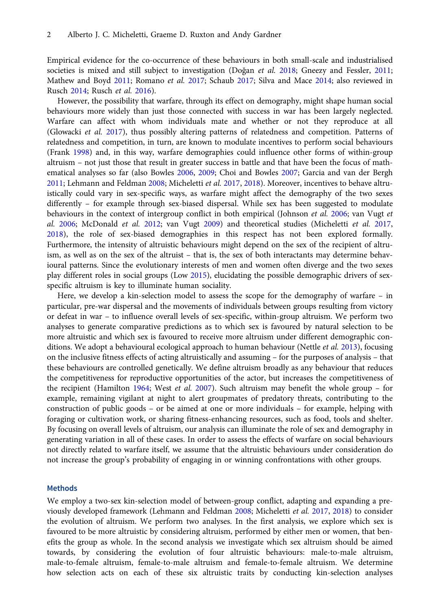Empirical evidence for the co-occurrence of these behaviours in both small-scale and industrialised societies is mixed and still subject to investigation (Doğan et al. [2018](#page-12-0); Gneezy and Fessler, [2011;](#page-12-0) Mathew and Boyd [2011;](#page-13-0) Romano et al. [2017;](#page-13-0) Schaub [2017](#page-13-0); Silva and Mace [2014;](#page-14-0) also reviewed in Rusch [2014;](#page-13-0) Rusch et al. [2016\)](#page-13-0).

However, the possibility that warfare, through its effect on demography, might shape human social behaviours more widely than just those connected with success in war has been largely neglected. Warfare can affect with whom individuals mate and whether or not they reproduce at all (Glowacki et al. [2017\)](#page-12-0), thus possibly altering patterns of relatedness and competition. Patterns of relatedness and competition, in turn, are known to modulate incentives to perform social behaviours (Frank [1998\)](#page-12-0) and, in this way, warfare demographies could influence other forms of within-group altruism – not just those that result in greater success in battle and that have been the focus of mathematical analyses so far (also Bowles [2006,](#page-12-0) [2009](#page-12-0); Choi and Bowles [2007;](#page-12-0) Garcia and van der Bergh [2011;](#page-12-0) Lehmann and Feldman [2008](#page-13-0); Micheletti et al. [2017](#page-13-0), [2018\)](#page-13-0). Moreover, incentives to behave altruistically could vary in sex-specific ways, as warfare might affect the demography of the two sexes differently – for example through sex-biased dispersal. While sex has been suggested to modulate behaviours in the context of intergroup conflict in both empirical (Johnson et al. [2006](#page-13-0); van Vugt et al. [2006;](#page-14-0) McDonald et al. [2012](#page-13-0); van Vugt [2009\)](#page-14-0) and theoretical studies (Micheletti et al. [2017,](#page-13-0) [2018\)](#page-13-0), the role of sex-biased demographies in this respect has not been explored formally. Furthermore, the intensity of altruistic behaviours might depend on the sex of the recipient of altruism, as well as on the sex of the altruist – that is, the sex of both interactants may determine behavioural patterns. Since the evolutionary interests of men and women often diverge and the two sexes play different roles in social groups (Low [2015](#page-13-0)), elucidating the possible demographic drivers of sexspecific altruism is key to illuminate human sociality.

Here, we develop a kin-selection model to assess the scope for the demography of warfare – in particular, pre-war dispersal and the movements of individuals between groups resulting from victory or defeat in war – to influence overall levels of sex-specific, within-group altruism. We perform two analyses to generate comparative predictions as to which sex is favoured by natural selection to be more altruistic and which sex is favoured to receive more altruism under different demographic con-ditions. We adopt a behavioural ecological approach to human behaviour (Nettle et al. [2013](#page-13-0)), focusing on the inclusive fitness effects of acting altruistically and assuming – for the purposes of analysis – that these behaviours are controlled genetically. We define altruism broadly as any behaviour that reduces the competitiveness for reproductive opportunities of the actor, but increases the competitiveness of the recipient (Hamilton [1964](#page-13-0); West et al. [2007\)](#page-14-0). Such altruism may benefit the whole group – for example, remaining vigilant at night to alert groupmates of predatory threats, contributing to the construction of public goods – or be aimed at one or more individuals – for example, helping with foraging or cultivation work, or sharing fitness-enhancing resources, such as food, tools and shelter. By focusing on overall levels of altruism, our analysis can illuminate the role of sex and demography in generating variation in all of these cases. In order to assess the effects of warfare on social behaviours not directly related to warfare itself, we assume that the altruistic behaviours under consideration do not increase the group's probability of engaging in or winning confrontations with other groups.

#### **Methods**

We employ a two-sex kin-selection model of between-group conflict, adapting and expanding a pre-viously developed framework (Lehmann and Feldman [2008](#page-13-0); Micheletti et al. [2017,](#page-13-0) [2018](#page-13-0)) to consider the evolution of altruism. We perform two analyses. In the first analysis, we explore which sex is favoured to be more altruistic by considering altruism, performed by either men or women, that benefits the group as whole. In the second analysis we investigate which sex altruism should be aimed towards, by considering the evolution of four altruistic behaviours: male-to-male altruism, male-to-female altruism, female-to-male altruism and female-to-female altruism. We determine how selection acts on each of these six altruistic traits by conducting kin-selection analyses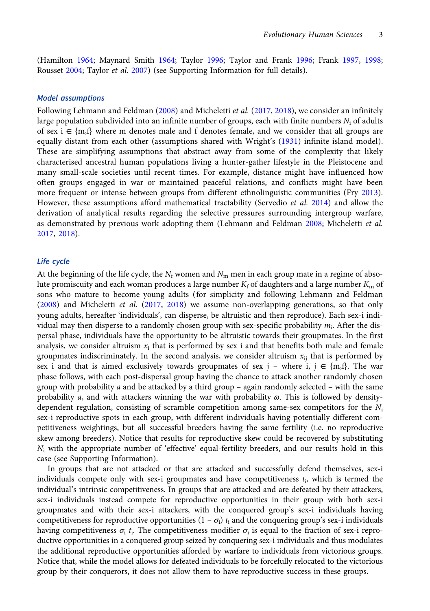(Hamilton [1964](#page-13-0); Maynard Smith [1964;](#page-13-0) Taylor [1996](#page-14-0); Taylor and Frank [1996;](#page-14-0) Frank [1997,](#page-12-0) [1998](#page-12-0); Rousset [2004](#page-13-0); Taylor et al. [2007](#page-14-0)) (see Supporting Information for full details).

# Model assumptions

Following Lehmann and Feldman ([2008\)](#page-13-0) and Micheletti et al. ([2017,](#page-13-0) [2018](#page-13-0)), we consider an infinitely large population subdivided into an infinite number of groups, each with finite numbers  $N_i$  of adults of sex i  $\in$  {m, f} where m denotes male and f denotes female, and we consider that all groups are equally distant from each other (assumptions shared with Wright's ([1931\)](#page-14-0) infinite island model). These are simplifying assumptions that abstract away from some of the complexity that likely characterised ancestral human populations living a hunter-gather lifestyle in the Pleistocene and many small-scale societies until recent times. For example, distance might have influenced how often groups engaged in war or maintained peaceful relations, and conflicts might have been more frequent or intense between groups from different ethnolinguistic communities (Fry [2013\)](#page-12-0). However, these assumptions afford mathematical tractability (Servedio et al. [2014](#page-14-0)) and allow the derivation of analytical results regarding the selective pressures surrounding intergroup warfare, as demonstrated by previous work adopting them (Lehmann and Feldman [2008;](#page-13-0) Micheletti et al. [2017,](#page-13-0) [2018](#page-13-0)).

# Life cycle

At the beginning of the life cycle, the  $N_f$  women and  $N_m$  men in each group mate in a regime of absolute promiscuity and each woman produces a large number  $K_f$  of daughters and a large number  $K_m$  of sons who mature to become young adults (for simplicity and following Lehmann and Feldman  $(2008)$  $(2008)$  and Micheletti et al.  $(2017, 2018)$  $(2017, 2018)$  $(2017, 2018)$  $(2017, 2018)$  we assume non-overlapping generations, so that only young adults, hereafter 'individuals', can disperse, be altruistic and then reproduce). Each sex-i individual may then disperse to a randomly chosen group with sex-specific probability  $m_i$ . After the dispersal phase, individuals have the opportunity to be altruistic towards their groupmates. In the first analysis, we consider altruism  $x_i$  that is performed by sex i and that benefits both male and female groupmates indiscriminately. In the second analysis, we consider altruism  $x_{ij}$  that is performed by sex i and that is aimed exclusively towards groupmates of sex j – where i, j  $\in$  {m,f}. The war phase follows, with each post-dispersal group having the chance to attack another randomly chosen group with probability a and be attacked by a third group – again randomly selected – with the same probability a, and with attackers winning the war with probability ω. This is followed by densitydependent regulation, consisting of scramble competition among same-sex competitors for the  $N_i$ sex-i reproductive spots in each group, with different individuals having potentially different competitiveness weightings, but all successful breeders having the same fertility (i.e. no reproductive skew among breeders). Notice that results for reproductive skew could be recovered by substituting  $N_i$  with the appropriate number of 'effective' equal-fertility breeders, and our results hold in this case (see Supporting Information).

In groups that are not attacked or that are attacked and successfully defend themselves, sex-i individuals compete only with sex-i groupmates and have competitiveness  $t_i$ , which is termed the individual's intrinsic competitiveness. In groups that are attacked and are defeated by their attackers, sex-i individuals instead compete for reproductive opportunities in their group with both sex-i groupmates and with their sex-i attackers, with the conquered group's sex-i individuals having competitiveness for reproductive opportunities  $(1 - \sigma_i) t_i$  and the conquering group's sex-i individuals having competitiveness  $\sigma_i$  t<sub>i</sub>. The competitiveness modifier  $\sigma_i$  is equal to the fraction of sex-i reproductive opportunities in a conquered group seized by conquering sex-i individuals and thus modulates the additional reproductive opportunities afforded by warfare to individuals from victorious groups. Notice that, while the model allows for defeated individuals to be forcefully relocated to the victorious group by their conquerors, it does not allow them to have reproductive success in these groups.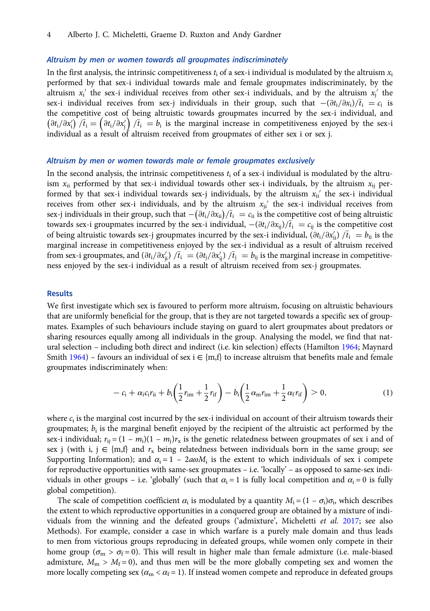#### Altruism by men or women towards all groupmates indiscriminately

In the first analysis, the intrinsic competitiveness  $t_i$  of a sex-i individual is modulated by the altruism  $x_i$ performed by that sex-i individual towards male and female groupmates indiscriminately, by the altruism  $x_i'$  the sex-i individual receives from other sex-i individuals, and by the altruism  $x_j'$  the sex-i individual receives from sex-j individuals in their group, such that  $-(\partial t_i/\partial x_i)/\bar{t}_i = c_i$  is the competitive cost of being altruistic towards groupmates incurred by the sex-i individual, and  $(\partial t_i/\partial x'_i)$   $\overline{t}_i = (\partial t_i/\partial x'_i)$   $\overline{t}_i = b_i$  is the marginal increase in competitiveness enjoyed by the sex-i individual as a result of altruism received from groupmates of either sex i or sex j.

#### Altruism by men or women towards male or female groupmates exclusively

In the second analysis, the intrinsic competitiveness  $t_i$  of a sex-i individual is modulated by the altruism  $x_{ii}$  performed by that sex-i individual towards other sex-i individuals, by the altruism  $x_{ii}$  performed by that sex-i individual towards sex-j individuals, by the altruism  $x_{ii}$ ' the sex-i individual receives from other sex-i individuals, and by the altruism  $x_{ji}'$  the sex-i individual receives from sex-j individuals in their group, such that  $-(\partial t_i/\partial x_{ii})/\bar{t}_i = c_{ii}$  is the competitive cost of being altruistic towards sex-i groupmates incurred by the sex-i individual,  $-(\partial t_i/\partial x_{ii})/\bar{t}_i = c_{ii}$  is the competitive cost of being altruistic towards sex-j groupmates incurred by the sex-i individual,  $(\partial t_i/\partial x'_{ii})/\bar{t}_i = b_{ii}$  is the marginal increase in competitiveness enjoyed by the sex-i individual as a result of altruism received from sex-i groupmates, and  $(\partial t_i/\partial x'_{ji})/\bar{t}_i = (\partial t_j/\partial x'_{ij})/\bar{t}_j = b_{ij}$  is the marginal increase in competitiveness enjoyed by the sex-i individual as a result of altruism received from sex-j groupmates.

### Results

We first investigate which sex is favoured to perform more altruism, focusing on altruistic behaviours that are uniformly beneficial for the group, that is they are not targeted towards a specific sex of groupmates. Examples of such behaviours include staying on guard to alert groupmates about predators or sharing resources equally among all individuals in the group. Analysing the model, we find that natural selection – including both direct and indirect (i.e. kin selection) effects (Hamilton [1964;](#page-13-0) Maynard Smith [1964](#page-13-0)) – favours an individual of sex i ∈ {m, f} to increase altruism that benefits male and female groupmates indiscriminately when:

$$
-c_{i} + \alpha_{i}c_{i}r_{ii} + b_{i}\left(\frac{1}{2}r_{im} + \frac{1}{2}r_{if}\right) - b_{i}\left(\frac{1}{2}\alpha_{m}r_{im} + \frac{1}{2}\alpha_{f}r_{if}\right) > 0, \qquad (1)
$$

where  $c_i$  is the marginal cost incurred by the sex-i individual on account of their altruism towards their groupmates;  $b_i$  is the marginal benefit enjoyed by the recipient of the altruistic act performed by the sex-i individual;  $r_{ij} = (1 - m_i)(1 - m_j)r_x$  is the genetic relatedness between groupmates of sex i and of sex j (with i, j ∈ {m, f} and  $r_x$  being relatedness between individuals born in the same group; see Supporting Information); and  $\alpha_i = 1 - 2a\omega M_i$  is the extent to which individuals of sex i compete for reproductive opportunities with same-sex groupmates – i.e. 'locally' – as opposed to same-sex individuals in other groups – i.e. 'globally' (such that  $\alpha_i = 1$  is fully local competition and  $\alpha_i = 0$  is fully global competition).

The scale of competition coefficient  $\alpha_i$  is modulated by a quantity  $M_i = (1 - \sigma_i)\sigma_i$ , which describes the extent to which reproductive opportunities in a conquered group are obtained by a mixture of indi-viduals from the winning and the defeated groups ('admixture', Micheletti et al. [2017;](#page-13-0) see also Methods). For example, consider a case in which warfare is a purely male domain and thus leads to men from victorious groups reproducing in defeated groups, while women only compete in their home group ( $\sigma_{\rm m} > \sigma_{\rm f} = 0$ ). This will result in higher male than female admixture (i.e. male-biased admixture,  $M_m > M_f = 0$ ), and thus men will be the more globally competing sex and women the more locally competing sex ( $\alpha_m < \alpha_f = 1$ ). If instead women compete and reproduce in defeated groups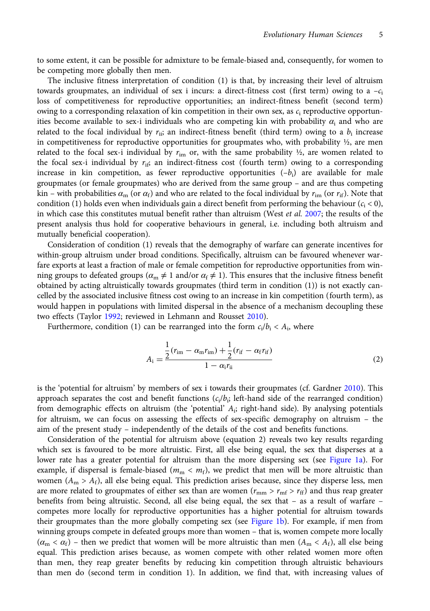to some extent, it can be possible for admixture to be female-biased and, consequently, for women to be competing more globally then men.

The inclusive fitness interpretation of condition (1) is that, by increasing their level of altruism towards groupmates, an individual of sex i incurs: a direct-fitness cost (first term) owing to a  $-c_i$ loss of competitiveness for reproductive opportunities; an indirect-fitness benefit (second term) owing to a corresponding relaxation of kin competition in their own sex, as  $c_i$  reproductive opportunities become available to sex-i individuals who are competing kin with probability  $\alpha_i$  and who are related to the focal individual by  $r_{\text{ii}}$ ; an indirect-fitness benefit (third term) owing to a  $b_i$  increase in competitiveness for reproductive opportunities for groupmates who, with probability  $\frac{1}{2}$ , are men related to the focal sex-i individual by  $r_{\text{im}}$  or, with the same probability  $\frac{1}{2}$ , are women related to the focal sex-i individual by  $r_{if}$ ; an indirect-fitness cost (fourth term) owing to a corresponding increase in kin competition, as fewer reproductive opportunities  $(-b_i)$  are available for male groupmates (or female groupmates) who are derived from the same group – and are thus competing kin – with probabilities  $\alpha_m$  (or  $\alpha_f$ ) and who are related to the focal individual by  $r_{im}$  (or  $r_{if}$ ). Note that condition (1) holds even when individuals gain a direct benefit from performing the behaviour ( $c_i$  < 0), in which case this constitutes mutual benefit rather than altruism (West *et al.* [2007;](#page-14-0) the results of the present analysis thus hold for cooperative behaviours in general, i.e. including both altruism and mutually beneficial cooperation).

Consideration of condition (1) reveals that the demography of warfare can generate incentives for within-group altruism under broad conditions. Specifically, altruism can be favoured whenever warfare exports at least a fraction of male or female competition for reproductive opportunities from winning groups to defeated groups ( $\alpha_m \neq 1$  and/or  $\alpha_f \neq 1$ ). This ensures that the inclusive fitness benefit obtained by acting altruistically towards groupmates (third term in condition (1)) is not exactly cancelled by the associated inclusive fitness cost owing to an increase in kin competition (fourth term), as would happen in populations with limited dispersal in the absence of a mechanism decoupling these two effects (Taylor [1992](#page-14-0); reviewed in Lehmann and Rousset [2010](#page-13-0)).

Furthermore, condition (1) can be rearranged into the form  $c_i/b_i < A_i$ , where

$$
A_{\rm i} = \frac{\frac{1}{2}(r_{\rm im} - \alpha_{\rm m}r_{\rm im}) + \frac{1}{2}(r_{\rm if} - \alpha_{\rm f}r_{\rm if})}{1 - \alpha_{\rm i}r_{\rm ii}}\tag{2}
$$

is the 'potential for altruism' by members of sex i towards their groupmates (cf. Gardner [2010\)](#page-12-0). This approach separates the cost and benefit functions  $(c_i/b_i; \text{ left-hand side of the rearranged condition})$ from demographic effects on altruism (the 'potential'  $A_i$ ; right-hand side). By analysing potentials for altruism, we can focus on assessing the effects of sex-specific demography on altruism – the aim of the present study – independently of the details of the cost and benefits functions.

Consideration of the potential for altruism above (equation 2) reveals two key results regarding which sex is favoured to be more altruistic. First, all else being equal, the sex that disperses at a lower rate has a greater potential for altruism than the more dispersing sex (see [Figure 1a](#page-5-0)). For example, if dispersal is female-biased ( $m<sub>m</sub> < m<sub>f</sub>$ ), we predict that men will be more altruistic than women ( $A_m > A_f$ ), all else being equal. This prediction arises because, since they disperse less, men are more related to groupmates of either sex than are women ( $r_{\rm mm} > r_{\rm mf} > r_{\rm ff}$ ) and thus reap greater benefits from being altruistic. Second, all else being equal, the sex that – as a result of warfare – competes more locally for reproductive opportunities has a higher potential for altruism towards their groupmates than the more globally competing sex (see [Figure 1b](#page-5-0)). For example, if men from winning groups compete in defeated groups more than women – that is, women compete more locally  $(\alpha_{\rm m} < \alpha_{\rm f})$  – then we predict that women will be more altruistic than men  $(A_{\rm m} < A_{\rm f})$ , all else being equal. This prediction arises because, as women compete with other related women more often than men, they reap greater benefits by reducing kin competition through altruistic behaviours than men do (second term in condition 1). In addition, we find that, with increasing values of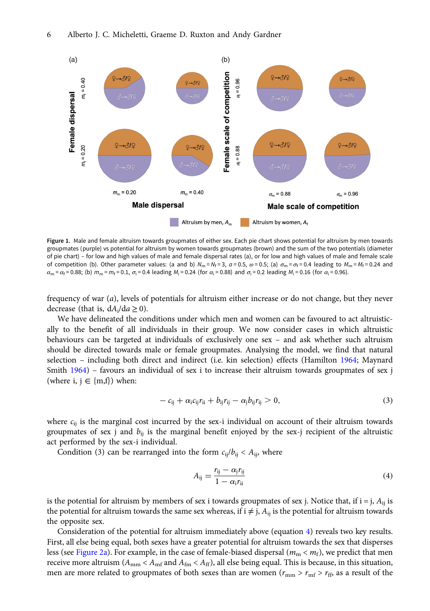<span id="page-5-0"></span>

Figure 1. Male and female altruism towards groupmates of either sex. Each pie chart shows potential for altruism by men towards groupmates (purple) vs potential for altruism by women towards groupmates (brown) and the sum of the two potentials (diameter of pie chart) – for low and high values of male and female dispersal rates (a), or for low and high values of male and female scale of competition (b). Other parameter values: (a and b)  $N_m = N_f = 3$ ,  $a = 0.5$ ,  $\omega = 0.5$ ; (a)  $\sigma_m = \sigma_f = 0.4$  leading to  $M_m = M_f = 0.24$  and  $\alpha_m = \alpha_f = 0.88$ ; (b)  $m_m = m_f = 0.1$ ,  $\sigma_i = 0.4$  leading  $M_i = 0.24$  (for  $\alpha_i = 0.88$ ) and  $\sigma_i = 0.2$  leading  $M_i = 0.16$  (for  $\alpha_i = 0.96$ ).

frequency of war (a), levels of potentials for altruism either increase or do not change, but they never decrease (that is,  $dA_i/da \ge 0$ ).

We have delineated the conditions under which men and women can be favoured to act altruistically to the benefit of all individuals in their group. We now consider cases in which altruistic behaviours can be targeted at individuals of exclusively one sex – and ask whether such altruism should be directed towards male or female groupmates. Analysing the model, we find that natural selection – including both direct and indirect (i.e. kin selection) effects (Hamilton [1964](#page-13-0); Maynard Smith [1964](#page-13-0)) – favours an individual of sex i to increase their altruism towards groupmates of sex j (where i,  $j \in \{m,f\}$ ) when:

$$
-c_{ij} + \alpha_i c_{ij} r_{ii} + b_{ij} r_{ij} - \alpha_j b_{ij} r_{ij} > 0,
$$
\n(3)

where  $c_{ij}$  is the marginal cost incurred by the sex-i individual on account of their altruism towards groupmates of sex j and  $b_{ij}$  is the marginal benefit enjoyed by the sex-j recipient of the altruistic act performed by the sex-i individual.

Condition (3) can be rearranged into the form  $c_{ii}/b_{ii} < A_{ii}$ , where

$$
A_{ij} = \frac{r_{ij} - \alpha_j r_{ij}}{1 - \alpha_i r_{ii}} \tag{4}
$$

is the potential for altruism by members of sex i towards groupmates of sex j. Notice that, if  $i = j$ ,  $A_{ii}$  is the potential for altruism towards the same sex whereas, if  $i \neq j$ ,  $A_{ij}$  is the potential for altruism towards the opposite sex.

Consideration of the potential for altruism immediately above (equation 4) reveals two key results. First, all else being equal, both sexes have a greater potential for altruism towards the sex that disperses less (see [Figure 2a](#page-6-0)). For example, in the case of female-biased dispersal  $(m_m < m_f)$ , we predict that men receive more altruism ( $A_{mn} < A_{mn}$  and  $A_{fm} < A_{ff}$ ), all else being equal. This is because, in this situation, men are more related to groupmates of both sexes than are women  $(r_{\text{mm}} > r_{\text{ff}} > r_{\text{ff}}$ , as a result of the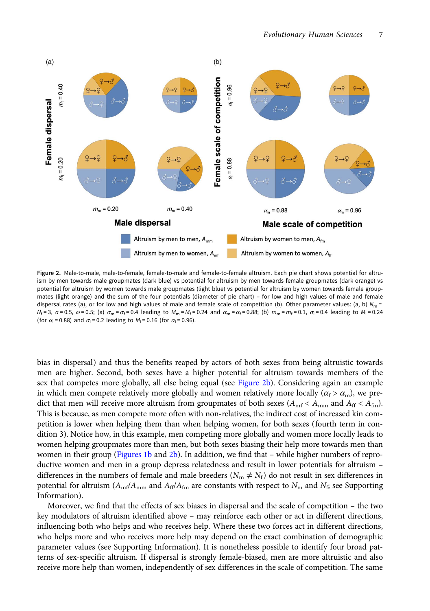<span id="page-6-0"></span>

Figure 2. Male-to-male, male-to-female, female-to-male and female-to-female altruism. Each pie chart shows potential for altruism by men towards male groupmates (dark blue) vs potential for altruism by men towards female groupmates (dark orange) vs potential for altruism by women towards male groupmates (light blue) vs potential for altruism by women towards female groupmates (light orange) and the sum of the four potentials (diameter of pie chart) – for low and high values of male and female dispersal rates (a), or for low and high values of male and female scale of competition (b). Other parameter values: (a, b)  $N_m$  =  $N_f = 3$ ,  $a = 0.5$ ,  $\omega = 0.5$ ; (a)  $\sigma_m = \sigma_f = 0.4$  leading to  $M_m = M_f = 0.24$  and  $\alpha_m = \alpha_f = 0.88$ ; (b)  $m_m = m_f = 0.1$ ,  $\sigma_i = 0.4$  leading to  $M_i = 0.24$ (for  $\alpha_i$  = 0.88) and  $\sigma_i$  = 0.2 leading to  $M_i$  = 0.16 (for  $\alpha_i$  = 0.96).

bias in dispersal) and thus the benefits reaped by actors of both sexes from being altruistic towards men are higher. Second, both sexes have a higher potential for altruism towards members of the sex that competes more globally, all else being equal (see Figure 2b). Considering again an example in which men compete relatively more globally and women relatively more locally  $(\alpha_f > \alpha_m)$ , we predict that men will receive more altruism from groupmates of both sexes  $(A_{\text{mf}} < A_{\text{mm}})$  and  $A_{\text{ff}} < A_{\text{fm}})$ . This is because, as men compete more often with non-relatives, the indirect cost of increased kin competition is lower when helping them than when helping women, for both sexes (fourth term in condition 3). Notice how, in this example, men competing more globally and women more locally leads to women helping groupmates more than men, but both sexes biasing their help more towards men than women in their group ([Figures 1b](#page-5-0) and 2b). In addition, we find that – while higher numbers of reproductive women and men in a group depress relatedness and result in lower potentials for altruism – differences in the numbers of female and male breeders ( $N_m \neq N_f$ ) do not result in sex differences in potential for altruism ( $A_{\rm mf}/A_{\rm mm}$  and  $A_{\rm ff}/A_{\rm fm}$  are constants with respect to  $N_{\rm m}$  and  $N_{\rm f}$ ; see Supporting Information).

Moreover, we find that the effects of sex biases in dispersal and the scale of competition – the two key modulators of altruism identified above – may reinforce each other or act in different directions, influencing both who helps and who receives help. Where these two forces act in different directions, who helps more and who receives more help may depend on the exact combination of demographic parameter values (see Supporting Information). It is nonetheless possible to identify four broad patterns of sex-specific altruism. If dispersal is strongly female-biased, men are more altruistic and also receive more help than women, independently of sex differences in the scale of competition. The same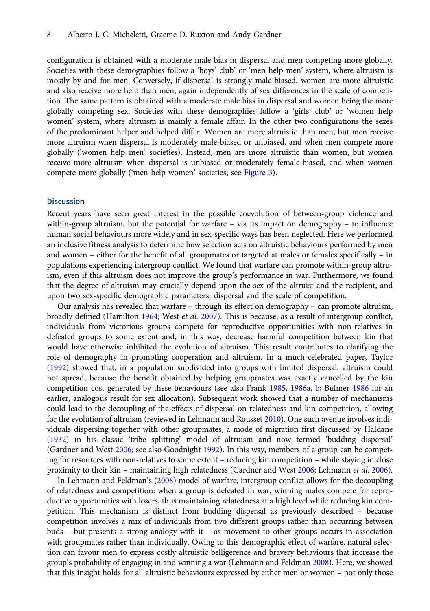configuration is obtained with a moderate male bias in dispersal and men competing more globally. Societies with these demographies follow a 'boys' club' or 'men help men' system, where altruism is mostly by and for men. Conversely, if dispersal is strongly male-biased, women are more altruistic and also receive more help than men, again independently of sex differences in the scale of competition. The same pattern is obtained with a moderate male bias in dispersal and women being the more globally competing sex. Societies with these demographies follow a 'girls' club' or 'women help women' system, where altruism is mainly a female affair. In the other two configurations the sexes of the predominant helper and helped differ. Women are more altruistic than men, but men receive more altruism when dispersal is moderately male-biased or unbiased, and when men compete more globally ('women help men' societies). Instead, men are more altruistic than women, but women receive more altruism when dispersal is unbiased or moderately female-biased, and when women compete more globally ('men help women' societies; see [Figure 3](#page-8-0)).

#### **Discussion**

Recent years have seen great interest in the possible coevolution of between-group violence and within-group altruism, but the potential for warfare – via its impact on demography – to influence human social behaviours more widely and in sex-specific ways has been neglected. Here we performed an inclusive fitness analysis to determine how selection acts on altruistic behaviours performed by men and women – either for the benefit of all groupmates or targeted at males or females specifically – in populations experiencing intergroup conflict. We found that warfare can promote within-group altruism, even if this altruism does not improve the group's performance in war. Furthermore, we found that the degree of altruism may crucially depend upon the sex of the altruist and the recipient, and upon two sex-specific demographic parameters: dispersal and the scale of competition.

Our analysis has revealed that warfare – through its effect on demography – can promote altruism, broadly defined (Hamilton [1964;](#page-13-0) West et al. [2007](#page-14-0)). This is because, as a result of intergroup conflict, individuals from victorious groups compete for reproductive opportunities with non-relatives in defeated groups to some extent and, in this way, decrease harmful competition between kin that would have otherwise inhibited the evolution of altruism. This result contributes to clarifying the role of demography in promoting cooperation and altruism. In a much-celebrated paper, Taylor [\(1992\)](#page-14-0) showed that, in a population subdivided into groups with limited dispersal, altruism could not spread, because the benefit obtained by helping groupmates was exactly cancelled by the kin competition cost generated by these behaviours (see also Frank [1985,](#page-12-0) [1986a](#page-12-0), [b;](#page-12-0) Bulmer [1986](#page-12-0) for an earlier, analogous result for sex allocation). Subsequent work showed that a number of mechanisms could lead to the decoupling of the effects of dispersal on relatedness and kin competition, allowing for the evolution of altruism (reviewed in Lehmann and Rousset [2010](#page-13-0)). One such avenue involves individuals dispersing together with other groupmates, a mode of migration first discussed by Haldane [\(1932\)](#page-13-0) in his classic 'tribe splitting' model of altruism and now termed 'budding dispersal' (Gardner and West [2006;](#page-12-0) see also Goodnight [1992\)](#page-13-0). In this way, members of a group can be competing for resources with non-relatives to some extent – reducing kin competition – while staying in close proximity to their kin – maintaining high relatedness (Gardner and West [2006;](#page-12-0) Lehmann et al. [2006](#page-13-0)).

In Lehmann and Feldman's [\(2008\)](#page-13-0) model of warfare, intergroup conflict allows for the decoupling of relatedness and competition: when a group is defeated in war, winning males compete for reproductive opportunities with losers, thus maintaining relatedness at a high level while reducing kin competition. This mechanism is distinct from budding dispersal as previously described – because competition involves a mix of individuals from two different groups rather than occurring between buds – but presents a strong analogy with it – as movement to other groups occurs in association with groupmates rather than individually. Owing to this demographic effect of warfare, natural selection can favour men to express costly altruistic belligerence and bravery behaviours that increase the group's probability of engaging in and winning a war (Lehmann and Feldman [2008](#page-13-0)). Here, we showed that this insight holds for all altruistic behaviours expressed by either men or women – not only those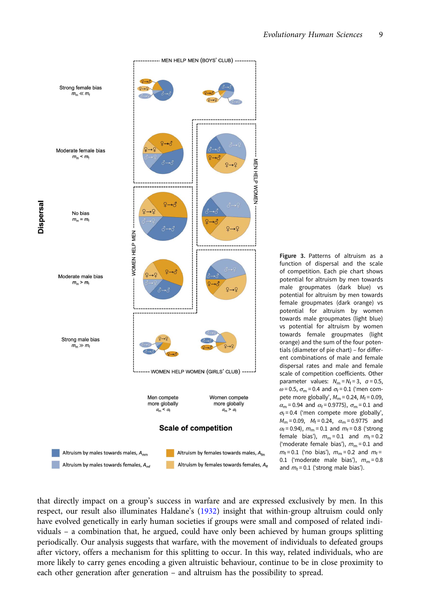<span id="page-8-0"></span>



that directly impact on a group's success in warfare and are expressed exclusively by men. In this respect, our result also illuminates Haldane's ([1932\)](#page-13-0) insight that within-group altruism could only have evolved genetically in early human societies if groups were small and composed of related individuals – a combination that, he argued, could have only been achieved by human groups splitting periodically. Our analysis suggests that warfare, with the movement of individuals to defeated groups after victory, offers a mechanism for this splitting to occur. In this way, related individuals, who are more likely to carry genes encoding a given altruistic behaviour, continue to be in close proximity to each other generation after generation – and altruism has the possibility to spread.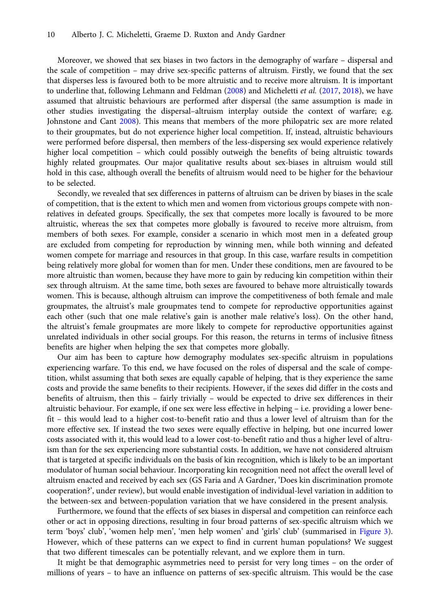Moreover, we showed that sex biases in two factors in the demography of warfare – dispersal and the scale of competition – may drive sex-specific patterns of altruism. Firstly, we found that the sex that disperses less is favoured both to be more altruistic and to receive more altruism. It is important to underline that, following Lehmann and Feldman ([2008](#page-13-0)) and Micheletti et al. ([2017](#page-13-0), [2018\)](#page-13-0), we have assumed that altruistic behaviours are performed after dispersal (the same assumption is made in other studies investigating the dispersal–altruism interplay outside the context of warfare; e.g. Johnstone and Cant [2008](#page-13-0)). This means that members of the more philopatric sex are more related to their groupmates, but do not experience higher local competition. If, instead, altruistic behaviours were performed before dispersal, then members of the less-dispersing sex would experience relatively higher local competition – which could possibly outweigh the benefits of being altruistic towards highly related groupmates. Our major qualitative results about sex-biases in altruism would still hold in this case, although overall the benefits of altruism would need to be higher for the behaviour to be selected.

Secondly, we revealed that sex differences in patterns of altruism can be driven by biases in the scale of competition, that is the extent to which men and women from victorious groups compete with nonrelatives in defeated groups. Specifically, the sex that competes more locally is favoured to be more altruistic, whereas the sex that competes more globally is favoured to receive more altruism, from members of both sexes. For example, consider a scenario in which most men in a defeated group are excluded from competing for reproduction by winning men, while both winning and defeated women compete for marriage and resources in that group. In this case, warfare results in competition being relatively more global for women than for men. Under these conditions, men are favoured to be more altruistic than women, because they have more to gain by reducing kin competition within their sex through altruism. At the same time, both sexes are favoured to behave more altruistically towards women. This is because, although altruism can improve the competitiveness of both female and male groupmates, the altruist's male groupmates tend to compete for reproductive opportunities against each other (such that one male relative's gain is another male relative's loss). On the other hand, the altruist's female groupmates are more likely to compete for reproductive opportunities against unrelated individuals in other social groups. For this reason, the returns in terms of inclusive fitness benefits are higher when helping the sex that competes more globally.

Our aim has been to capture how demography modulates sex-specific altruism in populations experiencing warfare. To this end, we have focused on the roles of dispersal and the scale of competition, whilst assuming that both sexes are equally capable of helping, that is they experience the same costs and provide the same benefits to their recipients. However, if the sexes did differ in the costs and benefits of altruism, then this – fairly trivially – would be expected to drive sex differences in their altruistic behaviour. For example, if one sex were less effective in helping – i.e. providing a lower benefit – this would lead to a higher cost-to-benefit ratio and thus a lower level of altruism than for the more effective sex. If instead the two sexes were equally effective in helping, but one incurred lower costs associated with it, this would lead to a lower cost-to-benefit ratio and thus a higher level of altruism than for the sex experiencing more substantial costs. In addition, we have not considered altruism that is targeted at specific individuals on the basis of kin recognition, which is likely to be an important modulator of human social behaviour. Incorporating kin recognition need not affect the overall level of altruism enacted and received by each sex (GS Faria and A Gardner, 'Does kin discrimination promote cooperation?', under review), but would enable investigation of individual-level variation in addition to the between-sex and between-population variation that we have considered in the present analysis.

Furthermore, we found that the effects of sex biases in dispersal and competition can reinforce each other or act in opposing directions, resulting in four broad patterns of sex-specific altruism which we term 'boys' club', 'women help men', 'men help women' and 'girls' club' (summarised in [Figure 3](#page-8-0)). However, which of these patterns can we expect to find in current human populations? We suggest that two different timescales can be potentially relevant, and we explore them in turn.

It might be that demographic asymmetries need to persist for very long times – on the order of millions of years – to have an influence on patterns of sex-specific altruism. This would be the case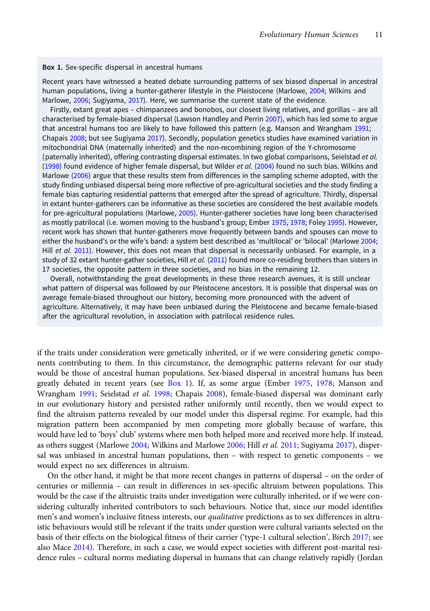#### Box 1. Sex-specific dispersal in ancestral humans

Recent years have witnessed a heated debate surrounding patterns of sex biased dispersal in ancestral human populations, living a hunter-gatherer lifestyle in the Pleistocene (Marlowe, [2004](#page-13-0); Wilkins and Marlowe, [2006](#page-14-0); Sugiyama, [2017](#page-14-0)). Here, we summarise the current state of the evidence.

Firstly, extant great apes – chimpanzees and bonobos, our closest living relatives, and gorillas – are all characterised by female-biased dispersal (Lawson Handley and Perrin [2007\)](#page-13-0), which has led some to argue that ancestral humans too are likely to have followed this pattern (e.g. Manson and Wrangham [1991;](#page-13-0) Chapais [2008](#page-12-0); but see Sugiyama [2017](#page-14-0)). Secondly, population genetics studies have examined variation in mitochondrial DNA (maternally inherited) and the non-recombining region of the Y-chromosome (paternally inherited), offering contrasting dispersal estimates. In two global comparisons, Seielstad et al. [\(1998](#page-13-0)) found evidence of higher female dispersal, but Wilder et al. ([2004\)](#page-14-0) found no such bias. Wilkins and Marlowe [\(2006](#page-14-0)) argue that these results stem from differences in the sampling scheme adopted, with the study finding unbiased dispersal being more reflective of pre-agricultural societies and the study finding a female bias capturing residential patterns that emerged after the spread of agriculture. Thirdly, dispersal in extant hunter-gatherers can be informative as these societies are considered the best available models for pre-agricultural populations (Marlowe, [2005](#page-13-0)). Hunter-gatherer societies have long been characterised as mostly patrilocal (i.e. women moving to the husband's group; Ember [1975,](#page-12-0) [1978](#page-12-0); Foley [1995\)](#page-12-0). However, recent work has shown that hunter-gatherers move frequently between bands and spouses can move to either the husband's or the wife's band: a system best described as 'multilocal' or 'bilocal' (Marlowe [2004](#page-13-0); Hill et al. [2011](#page-13-0)). However, this does not mean that dispersal is necessarily unbiased. For example, in a study of 32 extant hunter-gather societies, Hill et al. ([2011\)](#page-13-0) found more co-residing brothers than sisters in 17 societies, the opposite pattern in three societies, and no bias in the remaining 12.

Overall, notwithstanding the great developments in these three research avenues, it is still unclear what pattern of dispersal was followed by our Pleistocene ancestors. It is possible that dispersal was on average female-biased throughout our history, becoming more pronounced with the advent of agriculture. Alternatively, it may have been unbiased during the Pleistocene and became female-biased after the agricultural revolution, in association with patrilocal residence rules.

if the traits under consideration were genetically inherited, or if we were considering genetic components contributing to them. In this circumstance, the demographic patterns relevant for our study would be those of ancestral human populations. Sex-biased dispersal in ancestral humans has been greatly debated in recent years (see Box 1). If, as some argue (Ember [1975](#page-12-0), [1978](#page-12-0); Manson and Wrangham [1991](#page-13-0); Seielstad et al. [1998](#page-13-0); Chapais [2008](#page-12-0)), female-biased dispersal was dominant early in our evolutionary history and persisted rather uniformly until recently, then we would expect to find the altruism patterns revealed by our model under this dispersal regime. For example, had this migration pattern been accompanied by men competing more globally because of warfare, this would have led to 'boys' club' systems where men both helped more and received more help. If instead, as others suggest (Marlowe [2004](#page-13-0); Wilkins and Marlowe [2006;](#page-14-0) Hill et al. [2011;](#page-13-0) Sugiyama [2017](#page-14-0)), dispersal was unbiased in ancestral human populations, then – with respect to genetic components – we would expect no sex differences in altruism.

On the other hand, it might be that more recent changes in patterns of dispersal – on the order of centuries or millennia – can result in differences in sex-specific altruism between populations. This would be the case if the altruistic traits under investigation were culturally inherited, or if we were considering culturally inherited contributors to such behaviours. Notice that, since our model identifies men's and women's inclusive fitness interests, our *qualitative* predictions as to sex differences in altruistic behaviours would still be relevant if the traits under question were cultural variants selected on the basis of their effects on the biological fitness of their carrier ('type-1 cultural selection', Birch [2017](#page-12-0); see also Mace [2014\)](#page-13-0). Therefore, in such a case, we would expect societies with different post-marital residence rules – cultural norms mediating dispersal in humans that can change relatively rapidly (Jordan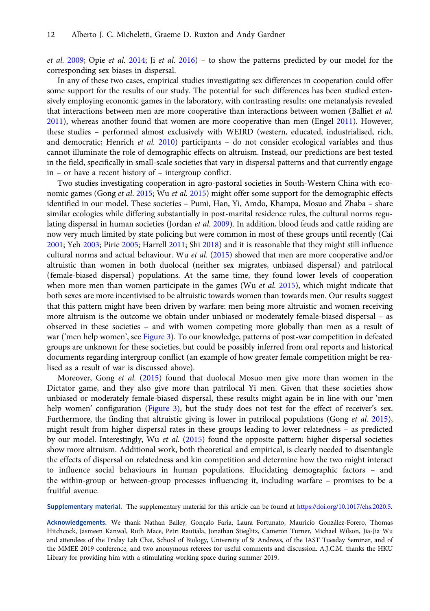et al. [2009](#page-13-0); Opie et al. [2014;](#page-13-0) Ji et al. [2016\)](#page-13-0) – to show the patterns predicted by our model for the corresponding sex biases in dispersal.

In any of these two cases, empirical studies investigating sex differences in cooperation could offer some support for the results of our study. The potential for such differences has been studied extensively employing economic games in the laboratory, with contrasting results: one metanalysis revealed that interactions between men are more cooperative than interactions between women (Balliet et al. [2011\)](#page-12-0), whereas another found that women are more cooperative than men (Engel [2011\)](#page-12-0). However, these studies – performed almost exclusively with WEIRD (western, educated, industrialised, rich, and democratic; Henrich et al. [2010\)](#page-13-0) participants - do not consider ecological variables and thus cannot illuminate the role of demographic effects on altruism. Instead, our predictions are best tested in the field, specifically in small-scale societies that vary in dispersal patterns and that currently engage in – or have a recent history of – intergroup conflict.

Two studies investigating cooperation in agro-pastoral societies in South-Western China with eco-nomic games (Gong et al. [2015](#page-12-0); Wu et al. [2015\)](#page-14-0) might offer some support for the demographic effects identified in our model. These societies – Pumi, Han, Yi, Amdo, Khampa, Mosuo and Zhaba – share similar ecologies while differing substantially in post-marital residence rules, the cultural norms regu-lating dispersal in human societies (Jordan et al. [2009](#page-13-0)). In addition, blood feuds and cattle raiding are now very much limited by state policing but were common in most of these groups until recently (Cai [2001;](#page-12-0) Yeh [2003](#page-14-0); Pirie [2005;](#page-13-0) Harrell [2011;](#page-13-0) Shi [2018](#page-14-0)) and it is reasonable that they might still influence cultural norms and actual behaviour. Wu et al. [\(2015](#page-14-0)) showed that men are more cooperative and/or altruistic than women in both duolocal (neither sex migrates, unbiased dispersal) and patrilocal (female-biased dispersal) populations. At the same time, they found lower levels of cooperation when more men than women participate in the games (Wu et al. [2015\)](#page-14-0), which might indicate that both sexes are more incentivised to be altruistic towards women than towards men. Our results suggest that this pattern might have been driven by warfare: men being more altruistic and women receiving more altruism is the outcome we obtain under unbiased or moderately female-biased dispersal – as observed in these societies – and with women competing more globally than men as a result of war ('men help women', see [Figure 3\)](#page-8-0). To our knowledge, patterns of post-war competition in defeated groups are unknown for these societies, but could be possibly inferred from oral reports and historical documents regarding intergroup conflict (an example of how greater female competition might be realised as a result of war is discussed above).

Moreover, Gong et al. ([2015](#page-12-0)) found that duolocal Mosuo men give more than women in the Dictator game, and they also give more than patrilocal Yi men. Given that these societies show unbiased or moderately female-biased dispersal, these results might again be in line with our 'men help women' configuration ([Figure 3](#page-8-0)), but the study does not test for the effect of receiver's sex. Furthermore, the finding that altruistic giving is lower in patrilocal populations (Gong *et al.* [2015](#page-12-0)), might result from higher dispersal rates in these groups leading to lower relatedness – as predicted by our model. Interestingly, Wu et al. [\(2015\)](#page-14-0) found the opposite pattern: higher dispersal societies show more altruism. Additional work, both theoretical and empirical, is clearly needed to disentangle the effects of dispersal on relatedness and kin competition and determine how the two might interact to influence social behaviours in human populations. Elucidating demographic factors – and the within-group or between-group processes influencing it, including warfare – promises to be a fruitful avenue.

Supplementary material. The supplementary material for this article can be found at <https://doi.org/10.1017/ehs.2020.5>.

Acknowledgements. We thank Nathan Bailey, Gonçalo Faria, Laura Fortunato, Mauricio González-Forero, Thomas Hitchcock, Jasmeen Kanwal, Ruth Mace, Petri Rautiala, Jonathan Stieglitz, Cameron Turner, Michael Wilson, Jia-Jia Wu and attendees of the Friday Lab Chat, School of Biology, University of St Andrews, of the IAST Tuesday Seminar, and of the MMEE 2019 conference, and two anonymous referees for useful comments and discussion. A.J.C.M. thanks the HKU Library for providing him with a stimulating working space during summer 2019.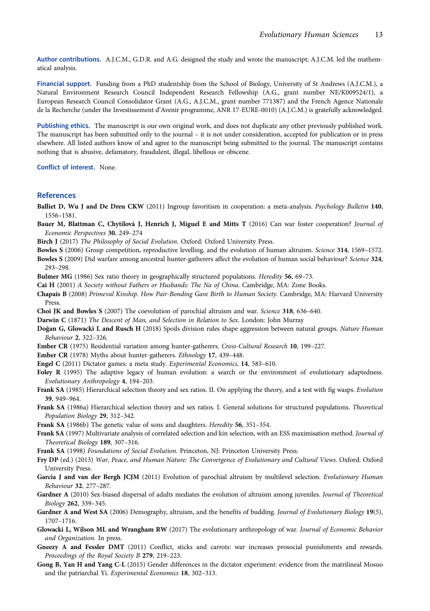<span id="page-12-0"></span>Author contributions. A.J.C.M., G.D.R. and A.G. designed the study and wrote the manuscript; A.J.C.M. led the mathematical analysis.

Financial support. Funding from a PhD studentship from the School of Biology, University of St Andrews (A.J.C.M.), a Natural Environment Research Council Independent Research Fellowship (A.G., grant number NE/K009524/1), a European Research Council Consolidator Grant (A.G., A.J.C.M., grant number 771387) and the French Agence Nationale de la Recherche (under the Investissement d'Avenir programme, ANR 17-EURE-0010) (A.J.C.M.) is gratefully acknowledged.

Publishing ethics. The manuscript is our own original work, and does not duplicate any other previously published work. The manuscript has been submitted only to the journal – it is not under consideration, accepted for publication or in press elsewhere. All listed authors know of and agree to the manuscript being submitted to the journal. The manuscript contains nothing that is abusive, defamatory, fraudulent, illegal, libellous or obscene.

Conflict of interest. None.

#### References

- Balliet D, Wu J and De Dreu CKW (2011) Ingroup favoritism in cooperation: a meta-analysis. Psychology Bulletin 140, 1556–1581.
- Bauer M, Blattman C, Chytilová J, Henrich J, Miguel E and Mitts T (2016) Can war foster cooperation? Journal of Economic Perspectives 30, 249–274
- Birch J (2017) The Philosophy of Social Evolution. Oxford: Oxford University Press.
- Bowles S (2006) Group competition, reproductive levelling, and the evolution of human altruism. Science 314, 1569–1572. Bowles S (2009) Did warfare among ancestral hunter-gatherers affect the evolution of human social behaviour? Science 324, 293–298.
- Bulmer MG (1986) Sex ratio theory in geographically structured populations. Heredity 56, 69-73.
- Cai H (2001) A Society without Fathers or Husbands: The Na of China. Cambridge, MA: Zone Books.
- Chapais B (2008) Primeval Kinship. How Pair-Bonding Gave Birth to Human Society. Cambridge, MA: Harvard University Press.
- Choi JK and Bowles S (2007) The coevolution of parochial altruism and war. Science 318, 636–640.
- Darwin C (1871) The Descent of Man, and Selection in Relation to Sex. London: John Murray
- Doğan G, Glowacki L and Rusch H (2018) Spoils division rules shape aggression between natural groups. Nature Human Behaviour 2, 322–326.
- Ember CR (1975) Residential variation among hunter-gatherers. Cross-Cultural Research 10, 199–227.

Ember CR (1978) Myths about hunter-gatherers. Ethnology 17, 439-448.

- Engel C (2011) Dictator games: a meta study. Experimental Economics, 14, 583–610.
- Foley R (1995) The adaptive legacy of human evolution: a search or the environment of evolutionary adaptedness. Evolutionary Anthropology 4, 194–203.
- Frank SA (1985) Hierarchical selection theory and sex ratios. II. On applying the theory, and a test with fig wasps. Evolution 39, 949–964.
- Frank SA (1986a) Hierarchical selection theory and sex ratios. I. General solutions for structured populations. Theoretical Population Biology 29, 312–342.
- Frank SA (1986b) The genetic value of sons and daughters. Heredity 56, 351-354.
- Frank SA (1997) Multivariate analysis of correlated selection and kin selection, with an ESS maximisation method. Journal of Theoretical Biology 189, 307–316.
- Frank SA (1998) Foundations of Social Evolution. Princeton, NJ: Princeton University Press.
- Fry DP (ed.) (2013) War, Peace, and Human Nature: The Convergence of Evolutionary and Cultural Views. Oxford: Oxford University Press.
- Garcia J and van der Bergh JCJM (2011) Evolution of parochial altruism by multilevel selection. Evolutionary Human Behaviour 32, 277–287.
- Gardner A (2010) Sex-biased dispersal of adults mediates the evolution of altruism among juveniles. Journal of Theoretical Biology 262, 339–345.
- Gardner A and West SA (2006) Demography, altruism, and the benefits of budding. Journal of Evolutionary Biology 19(5), 1707–1716.
- Glowacki L, Wilson ML and Wrangham RW (2017) The evolutionary anthropology of war. Journal of Economic Behavior and Organization. In press.
- Gneezy A and Fessler DMT (2011) Conflict, sticks and carrots: war increases prosocial punishments and rewards. Proceedings of the Royal Society B 279, 219–223.
- Gong B, Yan H and Yang C-L (2015) Gender differences in the dictator experiment: evidence from the matrilineal Mosuo and the patriarchal Yi. Experimental Economics 18, 302–313.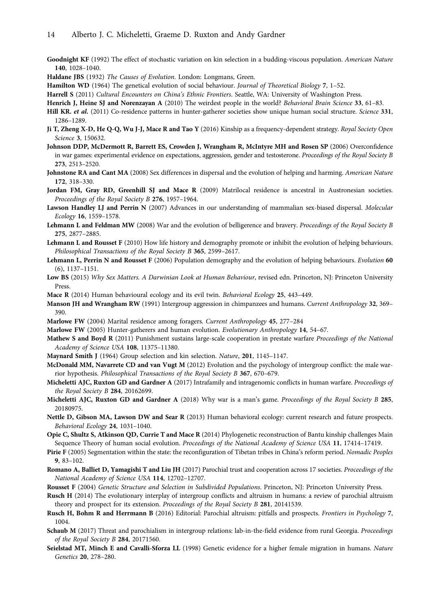- <span id="page-13-0"></span>Goodnight KF (1992) The effect of stochastic variation on kin selection in a budding-viscous population. American Nature 140, 1028–1040.
- Haldane JBS (1932) The Causes of Evolution. London: Longmans, Green.
- Hamilton WD (1964) The genetical evolution of social behaviour. Journal of Theoretical Biology 7, 1-52.
- Harrell S (2011) Cultural Encounters on China's Ethnic Frontiers. Seattle, WA: University of Washington Press.
- Henrich J, Heine SJ and Norenzayan A (2010) The weirdest people in the world? Behavioral Brain Science 33, 61-83.
- Hill KR. et al. (2011) Co-residence patterns in hunter-gatherer societies show unique human social structure. Science 331, 1286–1289.
- Ji T, Zheng X-D, He Q-Q, Wu J-J, Mace R and Tao Y (2016) Kinship as a frequency-dependent strategy. Royal Society Open Science 3, 150632.
- Johnson DDP, McDermott R, Barrett ES, Crowden J, Wrangham R, McIntyre MH and Rosen SP (2006) Overconfidence in war games: experimental evidence on expectations, aggression, gender and testosterone. Proceedings of the Royal Society B 273, 2513–2520.
- Johnstone RA and Cant MA (2008) Sex differences in dispersal and the evolution of helping and harming. American Nature 172, 318–330.
- Jordan FM, Gray RD, Greenhill SJ and Mace R (2009) Matrilocal residence is ancestral in Austronesian societies. Proceedings of the Royal Society B 276, 1957–1964.
- Lawson Handley LJ and Perrin N (2007) Advances in our understanding of mammalian sex-biased dispersal. Molecular Ecology 16, 1559–1578.
- Lehmann L and Feldman MW (2008) War and the evolution of belligerence and bravery. Proceedings of the Royal Society B 275, 2877–2885.
- Lehmann L and Rousset F (2010) How life history and demography promote or inhibit the evolution of helping behaviours. Philosophical Transactions of the Royal Society B 365, 2599–2617.
- Lehmann L, Perrin N and Rousset F (2006) Population demography and the evolution of helping behaviours. Evolution 60 (6), 1137–1151.
- Low BS (2015) Why Sex Matters. A Darwinian Look at Human Behaviour, revised edn. Princeton, NJ: Princeton University Press.
- Mace R (2014) Human behavioural ecology and its evil twin. Behavioral Ecology 25, 443-449.
- Manson JH and Wrangham RW (1991) Intergroup aggression in chimpanzees and humans. Current Anthropology 32, 369-390.
- Marlowe FW (2004) Marital residence among foragers. Current Anthropology 45, 277–284
- Marlowe FW (2005) Hunter-gatherers and human evolution. Evolutionary Anthropology 14, 54–67.
- Mathew S and Boyd R (2011) Punishment sustains large-scale cooperation in prestate warfare Proceedings of the National Academy of Science USA 108, 11375–11380.
- Maynard Smith J (1964) Group selection and kin selection. Nature, 201, 1145-1147.
- McDonald MM, Navarrete CD and van Vugt M (2012) Evolution and the psychology of intergroup conflict: the male warrior hypothesis. Philosophical Transactions of the Royal Society B 367, 670–679.
- Micheletti AJC, Ruxton GD and Gardner A (2017) Intrafamily and intragenomic conflicts in human warfare. Proceedings of the Royal Society B 284, 20162699.
- Micheletti AJC, Ruxton GD and Gardner A (2018) Why war is a man's game. Proceedings of the Royal Society B 285, 20180975.
- Nettle D, Gibson MA, Lawson DW and Sear R (2013) Human behavioral ecology: current research and future prospects. Behavioral Ecology 24, 1031–1040.
- Opie C, Shultz S, Atkinson QD, Currie T and Mace R (2014) Phylogenetic reconstruction of Bantu kinship challenges Main Sequence Theory of human social evolution. Proceedings of the National Academy of Science USA 11, 17414–17419.
- Pirie F (2005) Segmentation within the state: the reconfiguration of Tibetan tribes in China's reform period. Nomadic Peoples 9, 83–102.
- Romano A, Balliet D, Yamagishi T and Liu JH (2017) Parochial trust and cooperation across 17 societies. Proceedings of the National Academy of Science USA 114, 12702–12707.
- Rousset F (2004) Genetic Structure and Selection in Subdivided Populations. Princeton, NJ: Princeton University Press.
- Rusch H (2014) The evolutionary interplay of intergroup conflicts and altruism in humans: a review of parochial altruism theory and prospect for its extension. Proceedings of the Royal Society B 281, 20141539.
- Rusch H, Bohm R and Herrmann B (2016) Editorial: Parochial altruism: pitfalls and prospects. Frontiers in Psychology 7, 1004.
- Schaub M (2017) Threat and parochialism in intergroup relations: lab-in-the-field evidence from rural Georgia. Proceedings of the Royal Society B 284, 20171560.
- Seielstad MT, Minch E and Cavalli-Sforza LL (1998) Genetic evidence for a higher female migration in humans. Nature Genetics 20, 278–280.